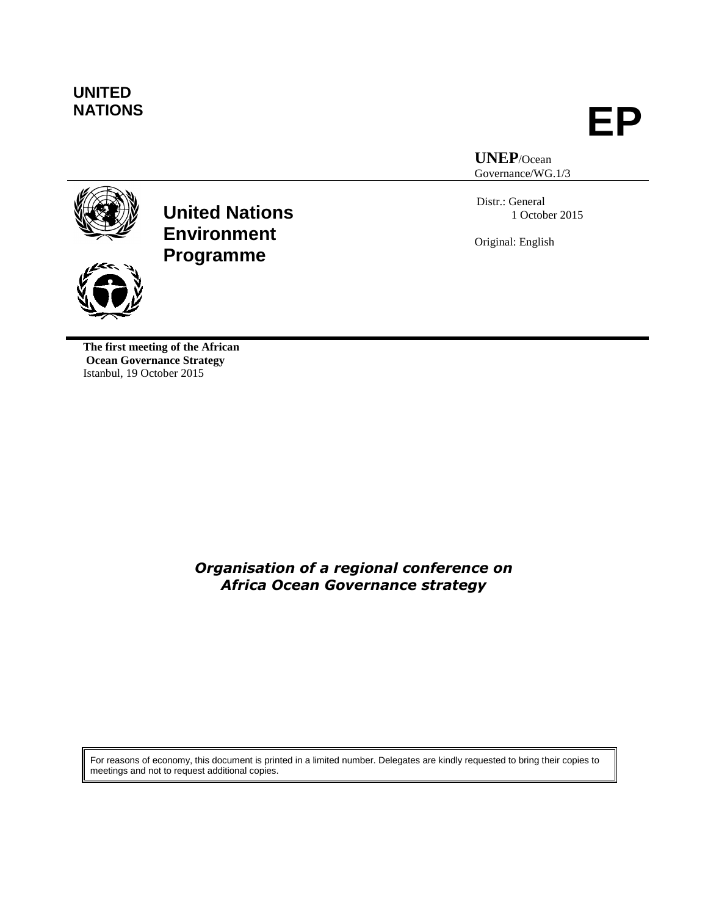# **UNITED**

**NATIONS EP**

**UNEP**/Ocean Governance/WG.1/3

Distr.: General 1 October 2015

Original: English



**United Nations Environment Programme**

**The first meeting of the African Ocean Governance Strategy**  Istanbul, 19 October 2015

> *Organisation of a regional conference on Africa Ocean Governance strategy*

For reasons of economy, this document is printed in a limited number. Delegates are kindly requested to bring their copies to meetings and not to request additional copies.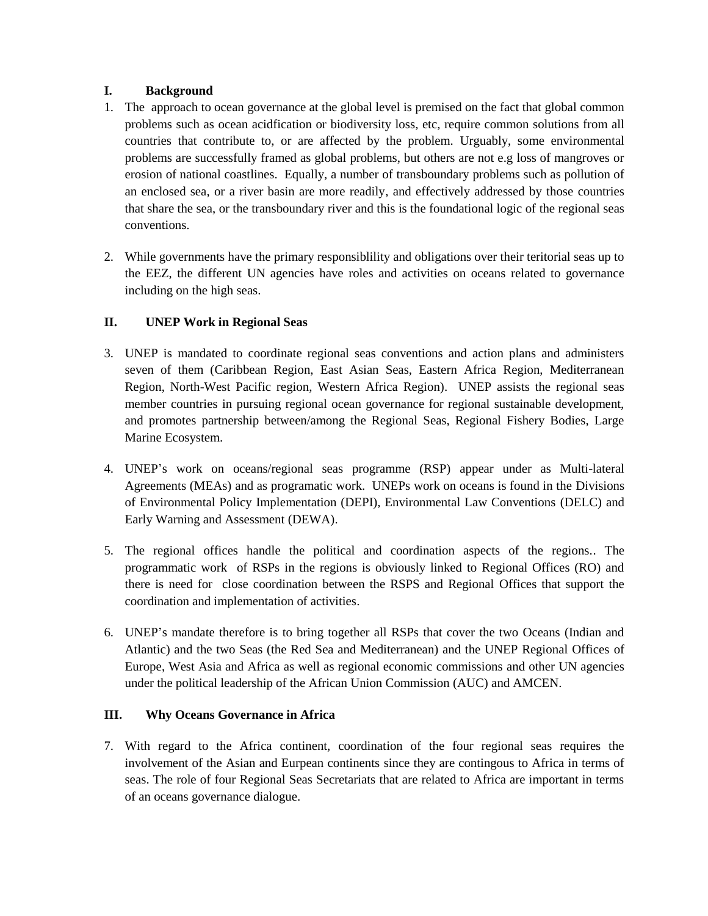#### **I. Background**

- 1. The approach to ocean governance at the global level is premised on the fact that global common problems such as ocean acidfication or biodiversity loss, etc, require common solutions from all countries that contribute to, or are affected by the problem. Urguably, some environmental problems are successfully framed as global problems, but others are not e.g loss of mangroves or erosion of national coastlines. Equally, a number of transboundary problems such as pollution of an enclosed sea, or a river basin are more readily, and effectively addressed by those countries that share the sea, or the transboundary river and this is the foundational logic of the regional seas conventions.
- 2. While governments have the primary responsiblility and obligations over their teritorial seas up to the EEZ, the different UN agencies have roles and activities on oceans related to governance including on the high seas.

## **II. UNEP Work in Regional Seas**

- 3. UNEP is mandated to coordinate regional seas conventions and action plans and administers seven of them (Caribbean Region, East Asian Seas, Eastern Africa Region, Mediterranean Region, North-West Pacific region, Western Africa Region). UNEP assists the regional seas member countries in pursuing regional ocean governance for regional sustainable development, and promotes partnership between/among the Regional Seas, Regional Fishery Bodies, Large Marine Ecosystem.
- 4. UNEP's work on oceans/regional seas programme (RSP) appear under as Multi-lateral Agreements (MEAs) and as programatic work. UNEPs work on oceans is found in the Divisions of Environmental Policy Implementation (DEPI), Environmental Law Conventions (DELC) and Early Warning and Assessment (DEWA).
- 5. The regional offices handle the political and coordination aspects of the regions.. The programmatic work of RSPs in the regions is obviously linked to Regional Offices (RO) and there is need for close coordination between the RSPS and Regional Offices that support the coordination and implementation of activities.
- 6. UNEP's mandate therefore is to bring together all RSPs that cover the two Oceans (Indian and Atlantic) and the two Seas (the Red Sea and Mediterranean) and the UNEP Regional Offices of Europe, West Asia and Africa as well as regional economic commissions and other UN agencies under the political leadership of the African Union Commission (AUC) and AMCEN.

#### **III. Why Oceans Governance in Africa**

7. With regard to the Africa continent, coordination of the four regional seas requires the involvement of the Asian and Eurpean continents since they are contingous to Africa in terms of seas. The role of four Regional Seas Secretariats that are related to Africa are important in terms of an oceans governance dialogue.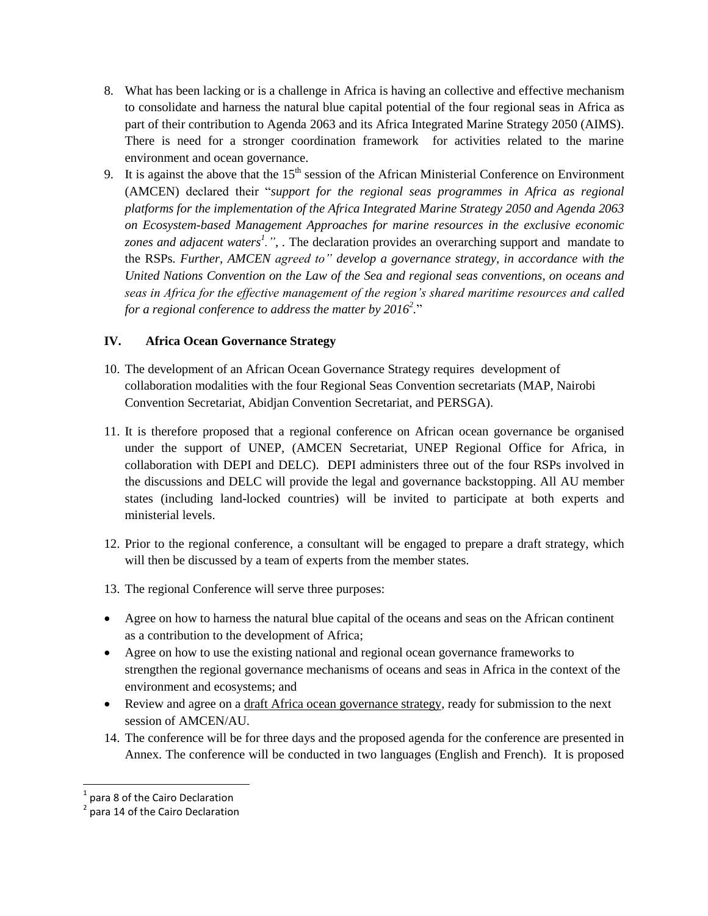- 8. What has been lacking or is a challenge in Africa is having an collective and effective mechanism to consolidate and harness the natural blue capital potential of the four regional seas in Africa as part of their contribution to Agenda 2063 and its Africa Integrated Marine Strategy 2050 (AIMS). There is need for a stronger coordination framework for activities related to the marine environment and ocean governance.
- 9. It is against the above that the  $15<sup>th</sup>$  session of the African Ministerial Conference on Environment (AMCEN) declared their "*support for the regional seas programmes in Africa as regional platforms for the implementation of the Africa Integrated Marine Strategy 2050 and Agenda 2063 on Ecosystem-based Management Approaches for marine resources in the exclusive economic*  zones and adjacent waters<sup>1</sup>.", The declaration provides an overarching support and mandate to the RSPs*. Further, AMCEN agreed to" develop a governance strategy, in accordance with the United Nations Convention on the Law of the Sea and regional seas conventions, on oceans and seas in Africa for the effective management of the region's shared maritime resources and called for a regional conference to address the matter by 2016<sup>2</sup> .*"

### **IV. Africa Ocean Governance Strategy**

- 10. The development of an African Ocean Governance Strategy requires development of collaboration modalities with the four Regional Seas Convention secretariats (MAP, Nairobi Convention Secretariat, Abidjan Convention Secretariat, and PERSGA).
- 11. It is therefore proposed that a regional conference on African ocean governance be organised under the support of UNEP, (AMCEN Secretariat, UNEP Regional Office for Africa, in collaboration with DEPI and DELC). DEPI administers three out of the four RSPs involved in the discussions and DELC will provide the legal and governance backstopping. All AU member states (including land-locked countries) will be invited to participate at both experts and ministerial levels.
- 12. Prior to the regional conference, a consultant will be engaged to prepare a draft strategy, which will then be discussed by a team of experts from the member states.
- 13. The regional Conference will serve three purposes:
- Agree on how to harness the natural blue capital of the oceans and seas on the African continent as a contribution to the development of Africa;
- Agree on how to use the existing national and regional ocean governance frameworks to strengthen the regional governance mechanisms of oceans and seas in Africa in the context of the environment and ecosystems; and
- Review and agree on a draft Africa ocean governance strategy, ready for submission to the next session of AMCEN/AU.
- 14. The conference will be for three days and the proposed agenda for the conference are presented in Annex. The conference will be conducted in two languages (English and French). It is proposed

 $\overline{a}$ 

 $<sup>1</sup>$  para 8 of the Cairo Declaration</sup>

<sup>&</sup>lt;sup>2</sup> para 14 of the Cairo Declaration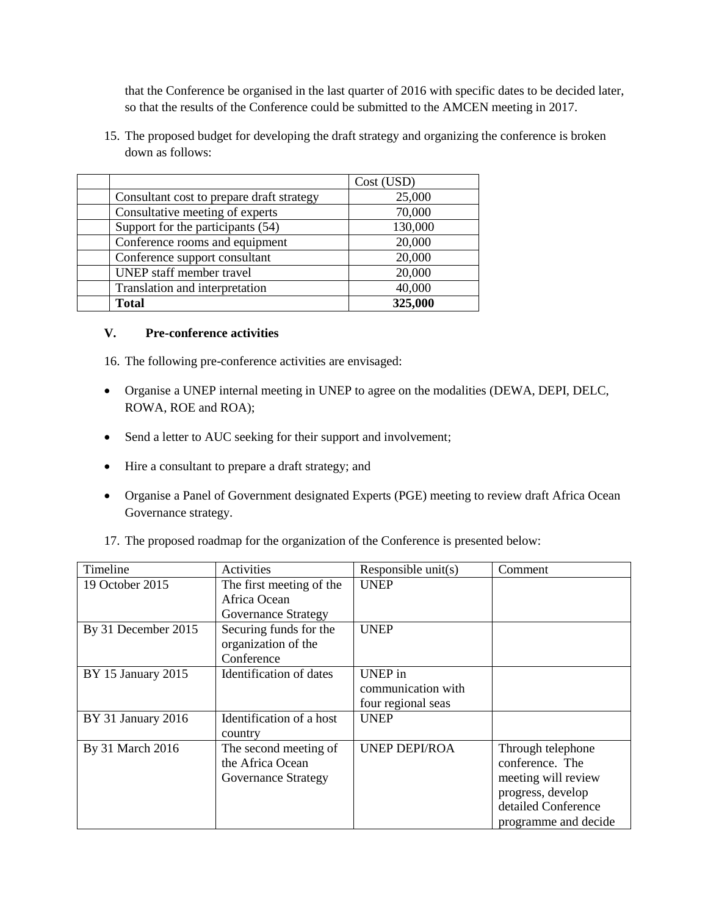that the Conference be organised in the last quarter of 2016 with specific dates to be decided later, so that the results of the Conference could be submitted to the AMCEN meeting in 2017.

15. The proposed budget for developing the draft strategy and organizing the conference is broken down as follows:

|                                           | Cost (USD) |
|-------------------------------------------|------------|
| Consultant cost to prepare draft strategy | 25,000     |
| Consultative meeting of experts           | 70,000     |
| Support for the participants (54)         | 130,000    |
| Conference rooms and equipment            | 20,000     |
| Conference support consultant             | 20,000     |
| UNEP staff member travel                  | 20,000     |
| Translation and interpretation            | 40,000     |
| <b>Total</b>                              | 325,000    |

#### **V. Pre-conference activities**

16. The following pre-conference activities are envisaged:

- Organise a UNEP internal meeting in UNEP to agree on the modalities (DEWA, DEPI, DELC, ROWA, ROE and ROA);
- Send a letter to AUC seeking for their support and involvement;
- Hire a consultant to prepare a draft strategy; and
- Organise a Panel of Government designated Experts (PGE) meeting to review draft Africa Ocean Governance strategy.
- 17. The proposed roadmap for the organization of the Conference is presented below:

| Timeline            | Activities                                                       | Responsible $unit(s)$                                      | Comment                                                                                                                         |
|---------------------|------------------------------------------------------------------|------------------------------------------------------------|---------------------------------------------------------------------------------------------------------------------------------|
| 19 October 2015     | The first meeting of the<br>Africa Ocean<br>Governance Strategy  | <b>UNEP</b>                                                |                                                                                                                                 |
| By 31 December 2015 | Securing funds for the<br>organization of the<br>Conference      | <b>UNEP</b>                                                |                                                                                                                                 |
| BY 15 January 2015  | Identification of dates                                          | <b>UNEP</b> in<br>communication with<br>four regional seas |                                                                                                                                 |
| BY 31 January 2016  | Identification of a host<br>country                              | <b>UNEP</b>                                                |                                                                                                                                 |
| By 31 March 2016    | The second meeting of<br>the Africa Ocean<br>Governance Strategy | <b>UNEP DEPI/ROA</b>                                       | Through telephone<br>conference. The<br>meeting will review<br>progress, develop<br>detailed Conference<br>programme and decide |